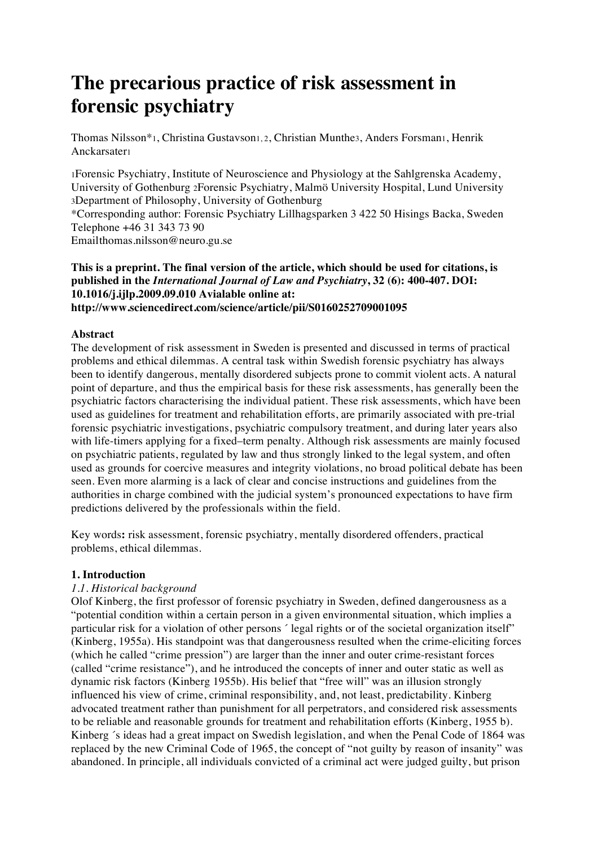# **The precarious practice of risk assessment in forensic psychiatry**

Thomas Nilsson\*1, Christina Gustavson1, 2, Christian Munthe3, Anders Forsman1, Henrik Anckarsater1

1Forensic Psychiatry, Institute of Neuroscience and Physiology at the Sahlgrenska Academy, University of Gothenburg 2Forensic Psychiatry, Malmö University Hospital, Lund University 3Department of Philosophy, University of Gothenburg

\*Corresponding author: Forensic Psychiatry Lillhagsparken 3 422 50 Hisings Backa, Sweden Telephone +46 31 343 73 90

Emailthomas.nilsson@neuro.gu.se

## **This is a preprint. The final version of the article, which should be used for citations, is published in the** *International Journal of Law and Psychiatry***, 32 (6): 400-407. DOI: 10.1016/j.ijlp.2009.09.010 Avialable online at: http://www.sciencedirect.com/science/article/pii/S0160252709001095**

# **Abstract**

The development of risk assessment in Sweden is presented and discussed in terms of practical problems and ethical dilemmas. A central task within Swedish forensic psychiatry has always been to identify dangerous, mentally disordered subjects prone to commit violent acts. A natural point of departure, and thus the empirical basis for these risk assessments, has generally been the psychiatric factors characterising the individual patient. These risk assessments, which have been used as guidelines for treatment and rehabilitation efforts, are primarily associated with pre-trial forensic psychiatric investigations, psychiatric compulsory treatment, and during later years also with life-timers applying for a fixed–term penalty. Although risk assessments are mainly focused on psychiatric patients, regulated by law and thus strongly linked to the legal system, and often used as grounds for coercive measures and integrity violations, no broad political debate has been seen. Even more alarming is a lack of clear and concise instructions and guidelines from the authorities in charge combined with the judicial system's pronounced expectations to have firm predictions delivered by the professionals within the field.

Key words**:** risk assessment, forensic psychiatry, mentally disordered offenders, practical problems, ethical dilemmas.

# **1. Introduction**

# *1.1. Historical background*

Olof Kinberg, the first professor of forensic psychiatry in Sweden, defined dangerousness as a "potential condition within a certain person in a given environmental situation, which implies a particular risk for a violation of other persons ́ legal rights or of the societal organization itself" (Kinberg, 1955a). His standpoint was that dangerousness resulted when the crime-eliciting forces (which he called "crime pression") are larger than the inner and outer crime-resistant forces (called "crime resistance"), and he introduced the concepts of inner and outer static as well as dynamic risk factors (Kinberg 1955b). His belief that "free will" was an illusion strongly influenced his view of crime, criminal responsibility, and, not least, predictability. Kinberg advocated treatment rather than punishment for all perpetrators, and considered risk assessments to be reliable and reasonable grounds for treatment and rehabilitation efforts (Kinberg, 1955 b). Kinberg 's ideas had a great impact on Swedish legislation, and when the Penal Code of 1864 was replaced by the new Criminal Code of 1965, the concept of "not guilty by reason of insanity" was abandoned. In principle, all individuals convicted of a criminal act were judged guilty, but prison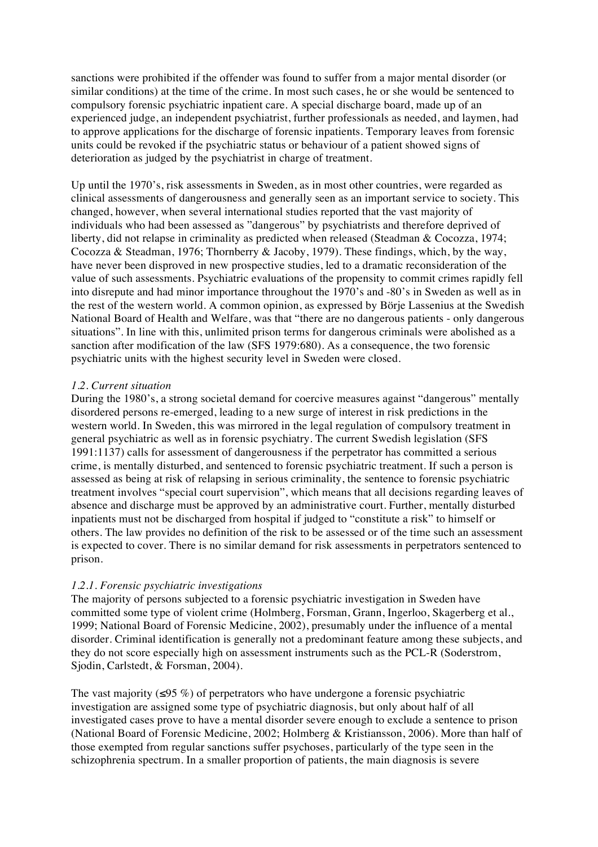sanctions were prohibited if the offender was found to suffer from a major mental disorder (or similar conditions) at the time of the crime. In most such cases, he or she would be sentenced to compulsory forensic psychiatric inpatient care. A special discharge board, made up of an experienced judge, an independent psychiatrist, further professionals as needed, and laymen, had to approve applications for the discharge of forensic inpatients. Temporary leaves from forensic units could be revoked if the psychiatric status or behaviour of a patient showed signs of deterioration as judged by the psychiatrist in charge of treatment.

Up until the 1970's, risk assessments in Sweden, as in most other countries, were regarded as clinical assessments of dangerousness and generally seen as an important service to society. This changed, however, when several international studies reported that the vast majority of individuals who had been assessed as "dangerous" by psychiatrists and therefore deprived of liberty, did not relapse in criminality as predicted when released (Steadman & Cocozza, 1974; Cocozza & Steadman, 1976; Thornberry & Jacoby, 1979). These findings, which, by the way, have never been disproved in new prospective studies, led to a dramatic reconsideration of the value of such assessments. Psychiatric evaluations of the propensity to commit crimes rapidly fell into disrepute and had minor importance throughout the 1970's and -80's in Sweden as well as in the rest of the western world. A common opinion, as expressed by Börje Lassenius at the Swedish National Board of Health and Welfare, was that "there are no dangerous patients - only dangerous situations". In line with this, unlimited prison terms for dangerous criminals were abolished as a sanction after modification of the law (SFS 1979:680). As a consequence, the two forensic psychiatric units with the highest security level in Sweden were closed.

## *1.2. Current situation*

During the 1980's, a strong societal demand for coercive measures against "dangerous" mentally disordered persons re-emerged, leading to a new surge of interest in risk predictions in the western world. In Sweden, this was mirrored in the legal regulation of compulsory treatment in general psychiatric as well as in forensic psychiatry. The current Swedish legislation (SFS 1991:1137) calls for assessment of dangerousness if the perpetrator has committed a serious crime, is mentally disturbed, and sentenced to forensic psychiatric treatment. If such a person is assessed as being at risk of relapsing in serious criminality, the sentence to forensic psychiatric treatment involves "special court supervision", which means that all decisions regarding leaves of absence and discharge must be approved by an administrative court. Further, mentally disturbed inpatients must not be discharged from hospital if judged to "constitute a risk" to himself or others. The law provides no definition of the risk to be assessed or of the time such an assessment is expected to cover. There is no similar demand for risk assessments in perpetrators sentenced to prison.

#### *1.2.1. Forensic psychiatric investigations*

The majority of persons subjected to a forensic psychiatric investigation in Sweden have committed some type of violent crime (Holmberg, Forsman, Grann, Ingerloo, Skagerberg et al., 1999; National Board of Forensic Medicine, 2002), presumably under the influence of a mental disorder. Criminal identification is generally not a predominant feature among these subjects, and they do not score especially high on assessment instruments such as the PCL-R (Soderstrom, Sjodin, Carlstedt, & Forsman, 2004).

The vast majority ( $\leq$ 95 %) of perpetrators who have undergone a forensic psychiatric investigation are assigned some type of psychiatric diagnosis, but only about half of all investigated cases prove to have a mental disorder severe enough to exclude a sentence to prison (National Board of Forensic Medicine, 2002; Holmberg & Kristiansson, 2006). More than half of those exempted from regular sanctions suffer psychoses, particularly of the type seen in the schizophrenia spectrum. In a smaller proportion of patients, the main diagnosis is severe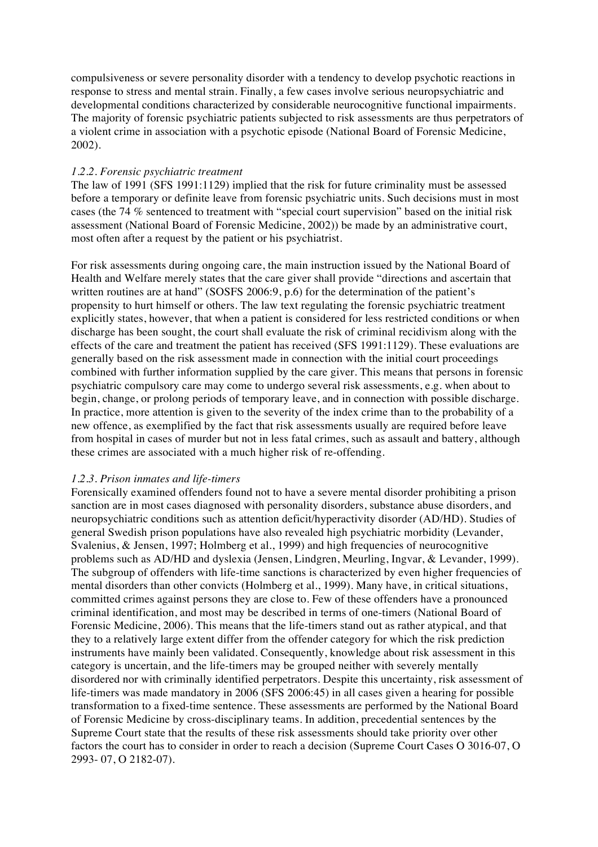compulsiveness or severe personality disorder with a tendency to develop psychotic reactions in response to stress and mental strain. Finally, a few cases involve serious neuropsychiatric and developmental conditions characterized by considerable neurocognitive functional impairments. The majority of forensic psychiatric patients subjected to risk assessments are thus perpetrators of a violent crime in association with a psychotic episode (National Board of Forensic Medicine, 2002).

#### *1.2.2. Forensic psychiatric treatment*

The law of 1991 (SFS 1991:1129) implied that the risk for future criminality must be assessed before a temporary or definite leave from forensic psychiatric units. Such decisions must in most cases (the 74 % sentenced to treatment with "special court supervision" based on the initial risk assessment (National Board of Forensic Medicine, 2002)) be made by an administrative court, most often after a request by the patient or his psychiatrist.

For risk assessments during ongoing care, the main instruction issued by the National Board of Health and Welfare merely states that the care giver shall provide "directions and ascertain that written routines are at hand" (SOSFS 2006:9, p.6) for the determination of the patient's propensity to hurt himself or others. The law text regulating the forensic psychiatric treatment explicitly states, however, that when a patient is considered for less restricted conditions or when discharge has been sought, the court shall evaluate the risk of criminal recidivism along with the effects of the care and treatment the patient has received (SFS 1991:1129). These evaluations are generally based on the risk assessment made in connection with the initial court proceedings combined with further information supplied by the care giver. This means that persons in forensic psychiatric compulsory care may come to undergo several risk assessments, e.g. when about to begin, change, or prolong periods of temporary leave, and in connection with possible discharge. In practice, more attention is given to the severity of the index crime than to the probability of a new offence, as exemplified by the fact that risk assessments usually are required before leave from hospital in cases of murder but not in less fatal crimes, such as assault and battery, although these crimes are associated with a much higher risk of re-offending.

#### *1.2.3. Prison inmates and life-timers*

Forensically examined offenders found not to have a severe mental disorder prohibiting a prison sanction are in most cases diagnosed with personality disorders, substance abuse disorders, and neuropsychiatric conditions such as attention deficit/hyperactivity disorder (AD/HD). Studies of general Swedish prison populations have also revealed high psychiatric morbidity (Levander, Svalenius, & Jensen, 1997; Holmberg et al., 1999) and high frequencies of neurocognitive problems such as AD/HD and dyslexia (Jensen, Lindgren, Meurling, Ingvar, & Levander, 1999). The subgroup of offenders with life-time sanctions is characterized by even higher frequencies of mental disorders than other convicts (Holmberg et al., 1999). Many have, in critical situations, committed crimes against persons they are close to. Few of these offenders have a pronounced criminal identification, and most may be described in terms of one-timers (National Board of Forensic Medicine, 2006). This means that the life-timers stand out as rather atypical, and that they to a relatively large extent differ from the offender category for which the risk prediction instruments have mainly been validated. Consequently, knowledge about risk assessment in this category is uncertain, and the life-timers may be grouped neither with severely mentally disordered nor with criminally identified perpetrators. Despite this uncertainty, risk assessment of life-timers was made mandatory in 2006 (SFS 2006:45) in all cases given a hearing for possible transformation to a fixed-time sentence. These assessments are performed by the National Board of Forensic Medicine by cross-disciplinary teams. In addition, precedential sentences by the Supreme Court state that the results of these risk assessments should take priority over other factors the court has to consider in order to reach a decision (Supreme Court Cases O 3016-07, O 2993- 07, O 2182-07).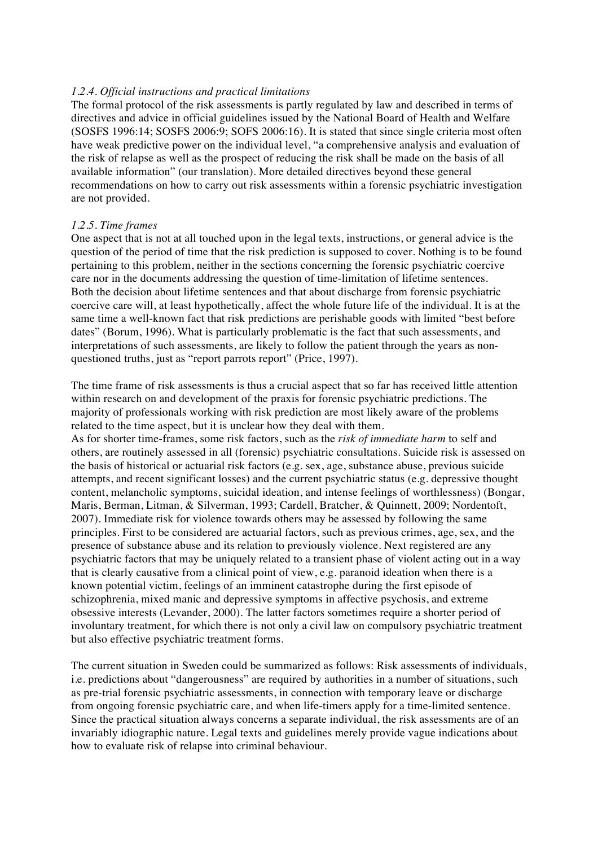## *1.2.4. Official instructions and practical limitations*

The formal protocol of the risk assessments is partly regulated by law and described in terms of directives and advice in official guidelines issued by the National Board of Health and Welfare (SOSFS 1996:14; SOSFS 2006:9; SOFS 2006:16). It is stated that since single criteria most often have weak predictive power on the individual level, "a comprehensive analysis and evaluation of the risk of relapse as well as the prospect of reducing the risk shall be made on the basis of all available information" (our translation). More detailed directives beyond these general recommendations on how to carry out risk assessments within a forensic psychiatric investigation are not provided.

## *1.2.5. Time frames*

One aspect that is not at all touched upon in the legal texts, instructions, or general advice is the question of the period of time that the risk prediction is supposed to cover. Nothing is to be found pertaining to this problem, neither in the sections concerning the forensic psychiatric coercive care nor in the documents addressing the question of time-limitation of lifetime sentences. Both the decision about lifetime sentences and that about discharge from forensic psychiatric coercive care will, at least hypothetically, affect the whole future life of the individual. It is at the same time a well-known fact that risk predictions are perishable goods with limited "best before dates" (Borum, 1996). What is particularly problematic is the fact that such assessments, and interpretations of such assessments, are likely to follow the patient through the years as nonquestioned truths, just as "report parrots report" (Price, 1997).

The time frame of risk assessments is thus a crucial aspect that so far has received little attention within research on and development of the praxis for forensic psychiatric predictions. The majority of professionals working with risk prediction are most likely aware of the problems related to the time aspect, but it is unclear how they deal with them.

As for shorter time-frames, some risk factors, such as the *risk of immediate harm* to self and others, are routinely assessed in all (forensic) psychiatric consultations. Suicide risk is assessed on the basis of historical or actuarial risk factors (e.g. sex, age, substance abuse, previous suicide attempts, and recent significant losses) and the current psychiatric status (e.g. depressive thought content, melancholic symptoms, suicidal ideation, and intense feelings of worthlessness) (Bongar, Maris, Berman, Litman, & Silverman, 1993; Cardell, Bratcher, & Quinnett, 2009; Nordentoft, 2007). Immediate risk for violence towards others may be assessed by following the same principles. First to be considered are actuarial factors, such as previous crimes, age, sex, and the presence of substance abuse and its relation to previously violence. Next registered are any psychiatric factors that may be uniquely related to a transient phase of violent acting out in a way that is clearly causative from a clinical point of view, e.g. paranoid ideation when there is a known potential victim, feelings of an imminent catastrophe during the first episode of schizophrenia, mixed manic and depressive symptoms in affective psychosis, and extreme obsessive interests (Levander, 2000). The latter factors sometimes require a shorter period of involuntary treatment, for which there is not only a civil law on compulsory psychiatric treatment but also effective psychiatric treatment forms.

The current situation in Sweden could be summarized as follows: Risk assessments of individuals, i.e. predictions about "dangerousness" are required by authorities in a number of situations, such as pre-trial forensic psychiatric assessments, in connection with temporary leave or discharge from ongoing forensic psychiatric care, and when life-timers apply for a time-limited sentence. Since the practical situation always concerns a separate individual, the risk assessments are of an invariably idiographic nature. Legal texts and guidelines merely provide vague indications about how to evaluate risk of relapse into criminal behaviour.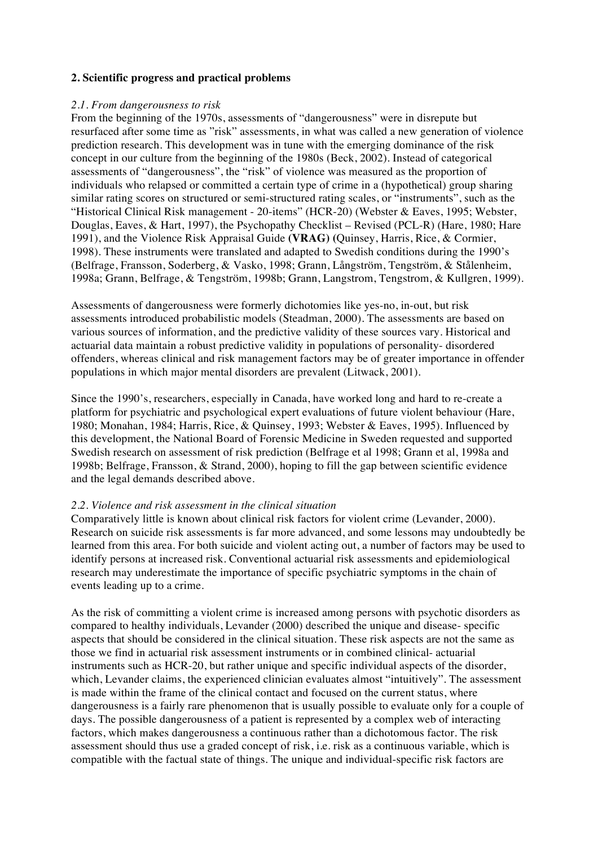## **2. Scientific progress and practical problems**

#### *2.1. From dangerousness to risk*

From the beginning of the 1970s, assessments of "dangerousness" were in disrepute but resurfaced after some time as "risk" assessments, in what was called a new generation of violence prediction research. This development was in tune with the emerging dominance of the risk concept in our culture from the beginning of the 1980s (Beck, 2002). Instead of categorical assessments of "dangerousness", the "risk" of violence was measured as the proportion of individuals who relapsed or committed a certain type of crime in a (hypothetical) group sharing similar rating scores on structured or semi-structured rating scales, or "instruments", such as the "Historical Clinical Risk management - 20-items" (HCR-20) (Webster & Eaves, 1995; Webster, Douglas, Eaves, & Hart, 1997), the Psychopathy Checklist – Revised (PCL-R) (Hare, 1980; Hare 1991), and the Violence Risk Appraisal Guide **(VRAG) (**Quinsey, Harris, Rice, & Cormier, 1998). These instruments were translated and adapted to Swedish conditions during the 1990's (Belfrage, Fransson, Soderberg, & Vasko, 1998; Grann, Långström, Tengström, & Stålenheim, 1998a; Grann, Belfrage, & Tengström, 1998b; Grann, Langstrom, Tengstrom, & Kullgren, 1999).

Assessments of dangerousness were formerly dichotomies like yes-no, in-out, but risk assessments introduced probabilistic models (Steadman, 2000). The assessments are based on various sources of information, and the predictive validity of these sources vary. Historical and actuarial data maintain a robust predictive validity in populations of personality- disordered offenders, whereas clinical and risk management factors may be of greater importance in offender populations in which major mental disorders are prevalent (Litwack, 2001).

Since the 1990's, researchers, especially in Canada, have worked long and hard to re-create a platform for psychiatric and psychological expert evaluations of future violent behaviour (Hare, 1980; Monahan, 1984; Harris, Rice, & Quinsey, 1993; Webster & Eaves, 1995). Influenced by this development, the National Board of Forensic Medicine in Sweden requested and supported Swedish research on assessment of risk prediction (Belfrage et al 1998; Grann et al, 1998a and 1998b; Belfrage, Fransson, & Strand, 2000), hoping to fill the gap between scientific evidence and the legal demands described above.

#### *2.2. Violence and risk assessment in the clinical situation*

Comparatively little is known about clinical risk factors for violent crime (Levander, 2000). Research on suicide risk assessments is far more advanced, and some lessons may undoubtedly be learned from this area. For both suicide and violent acting out, a number of factors may be used to identify persons at increased risk. Conventional actuarial risk assessments and epidemiological research may underestimate the importance of specific psychiatric symptoms in the chain of events leading up to a crime.

As the risk of committing a violent crime is increased among persons with psychotic disorders as compared to healthy individuals, Levander (2000) described the unique and disease- specific aspects that should be considered in the clinical situation. These risk aspects are not the same as those we find in actuarial risk assessment instruments or in combined clinical- actuarial instruments such as HCR-20, but rather unique and specific individual aspects of the disorder, which, Levander claims, the experienced clinician evaluates almost "intuitively". The assessment is made within the frame of the clinical contact and focused on the current status, where dangerousness is a fairly rare phenomenon that is usually possible to evaluate only for a couple of days. The possible dangerousness of a patient is represented by a complex web of interacting factors, which makes dangerousness a continuous rather than a dichotomous factor. The risk assessment should thus use a graded concept of risk, i.e. risk as a continuous variable, which is compatible with the factual state of things. The unique and individual-specific risk factors are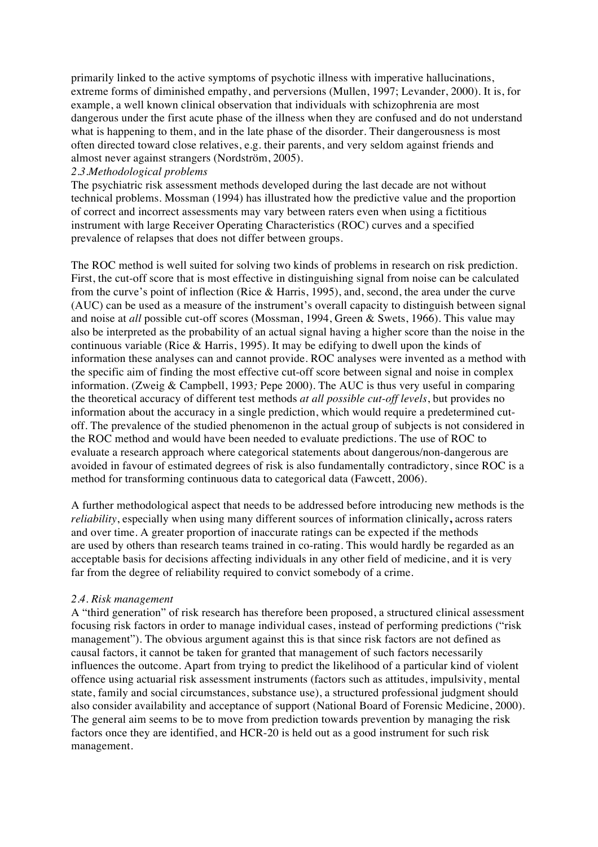primarily linked to the active symptoms of psychotic illness with imperative hallucinations, extreme forms of diminished empathy, and perversions (Mullen, 1997; Levander, 2000). It is, for example, a well known clinical observation that individuals with schizophrenia are most dangerous under the first acute phase of the illness when they are confused and do not understand what is happening to them, and in the late phase of the disorder. Their dangerousness is most often directed toward close relatives, e.g. their parents, and very seldom against friends and almost never against strangers (Nordström, 2005).

## *2.3.Methodological problems*

The psychiatric risk assessment methods developed during the last decade are not without technical problems. Mossman (1994) has illustrated how the predictive value and the proportion of correct and incorrect assessments may vary between raters even when using a fictitious instrument with large Receiver Operating Characteristics (ROC) curves and a specified prevalence of relapses that does not differ between groups.

The ROC method is well suited for solving two kinds of problems in research on risk prediction. First, the cut-off score that is most effective in distinguishing signal from noise can be calculated from the curve's point of inflection (Rice & Harris, 1995), and, second, the area under the curve (AUC) can be used as a measure of the instrument's overall capacity to distinguish between signal and noise at *all* possible cut-off scores (Mossman, 1994, Green & Swets, 1966). This value may also be interpreted as the probability of an actual signal having a higher score than the noise in the continuous variable (Rice & Harris, 1995). It may be edifying to dwell upon the kinds of information these analyses can and cannot provide. ROC analyses were invented as a method with the specific aim of finding the most effective cut-off score between signal and noise in complex information. (Zweig & Campbell, 1993*;* Pepe 2000). The AUC is thus very useful in comparing the theoretical accuracy of different test methods *at all possible cut-off levels*, but provides no information about the accuracy in a single prediction, which would require a predetermined cutoff. The prevalence of the studied phenomenon in the actual group of subjects is not considered in the ROC method and would have been needed to evaluate predictions. The use of ROC to evaluate a research approach where categorical statements about dangerous/non-dangerous are avoided in favour of estimated degrees of risk is also fundamentally contradictory, since ROC is a method for transforming continuous data to categorical data (Fawcett, 2006).

A further methodological aspect that needs to be addressed before introducing new methods is the *reliability*, especially when using many different sources of information clinically**,** across raters and over time. A greater proportion of inaccurate ratings can be expected if the methods are used by others than research teams trained in co-rating. This would hardly be regarded as an acceptable basis for decisions affecting individuals in any other field of medicine, and it is very far from the degree of reliability required to convict somebody of a crime.

#### *2.4. Risk management*

A "third generation" of risk research has therefore been proposed, a structured clinical assessment focusing risk factors in order to manage individual cases, instead of performing predictions ("risk management"). The obvious argument against this is that since risk factors are not defined as causal factors, it cannot be taken for granted that management of such factors necessarily influences the outcome. Apart from trying to predict the likelihood of a particular kind of violent offence using actuarial risk assessment instruments (factors such as attitudes, impulsivity, mental state, family and social circumstances, substance use), a structured professional judgment should also consider availability and acceptance of support (National Board of Forensic Medicine, 2000). The general aim seems to be to move from prediction towards prevention by managing the risk factors once they are identified, and HCR-20 is held out as a good instrument for such risk management.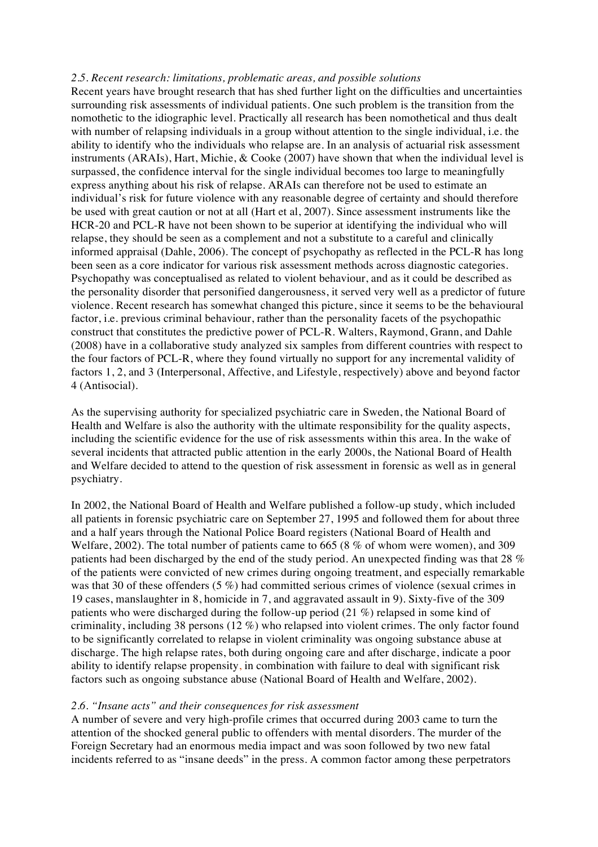#### *2.5. Recent research: limitations, problematic areas, and possible solutions*

Recent years have brought research that has shed further light on the difficulties and uncertainties surrounding risk assessments of individual patients. One such problem is the transition from the nomothetic to the idiographic level. Practically all research has been nomothetical and thus dealt with number of relapsing individuals in a group without attention to the single individual, i.e. the ability to identify who the individuals who relapse are. In an analysis of actuarial risk assessment instruments (ARAIs), Hart, Michie, & Cooke (2007) have shown that when the individual level is surpassed, the confidence interval for the single individual becomes too large to meaningfully express anything about his risk of relapse. ARAIs can therefore not be used to estimate an individual's risk for future violence with any reasonable degree of certainty and should therefore be used with great caution or not at all (Hart et al, 2007). Since assessment instruments like the HCR-20 and PCL-R have not been shown to be superior at identifying the individual who will relapse, they should be seen as a complement and not a substitute to a careful and clinically informed appraisal (Dahle, 2006). The concept of psychopathy as reflected in the PCL-R has long been seen as a core indicator for various risk assessment methods across diagnostic categories. Psychopathy was conceptualised as related to violent behaviour, and as it could be described as the personality disorder that personified dangerousness, it served very well as a predictor of future violence. Recent research has somewhat changed this picture, since it seems to be the behavioural factor, i.e. previous criminal behaviour, rather than the personality facets of the psychopathic construct that constitutes the predictive power of PCL-R. Walters, Raymond, Grann, and Dahle (2008) have in a collaborative study analyzed six samples from different countries with respect to the four factors of PCL-R, where they found virtually no support for any incremental validity of factors 1, 2, and 3 (Interpersonal, Affective, and Lifestyle, respectively) above and beyond factor 4 (Antisocial).

As the supervising authority for specialized psychiatric care in Sweden, the National Board of Health and Welfare is also the authority with the ultimate responsibility for the quality aspects, including the scientific evidence for the use of risk assessments within this area. In the wake of several incidents that attracted public attention in the early 2000s, the National Board of Health and Welfare decided to attend to the question of risk assessment in forensic as well as in general psychiatry.

In 2002, the National Board of Health and Welfare published a follow-up study, which included all patients in forensic psychiatric care on September 27, 1995 and followed them for about three and a half years through the National Police Board registers (National Board of Health and Welfare, 2002). The total number of patients came to 665 (8 % of whom were women), and 309 patients had been discharged by the end of the study period. An unexpected finding was that 28 % of the patients were convicted of new crimes during ongoing treatment, and especially remarkable was that 30 of these offenders (5 %) had committed serious crimes of violence (sexual crimes in 19 cases, manslaughter in 8, homicide in 7, and aggravated assault in 9). Sixty-five of the 309 patients who were discharged during the follow-up period (21 %) relapsed in some kind of criminality, including 38 persons (12 %) who relapsed into violent crimes. The only factor found to be significantly correlated to relapse in violent criminality was ongoing substance abuse at discharge. The high relapse rates, both during ongoing care and after discharge, indicate a poor ability to identify relapse propensity, in combination with failure to deal with significant risk factors such as ongoing substance abuse (National Board of Health and Welfare, 2002).

#### *2.6. "Insane acts" and their consequences for risk assessment*

A number of severe and very high-profile crimes that occurred during 2003 came to turn the attention of the shocked general public to offenders with mental disorders. The murder of the Foreign Secretary had an enormous media impact and was soon followed by two new fatal incidents referred to as "insane deeds" in the press. A common factor among these perpetrators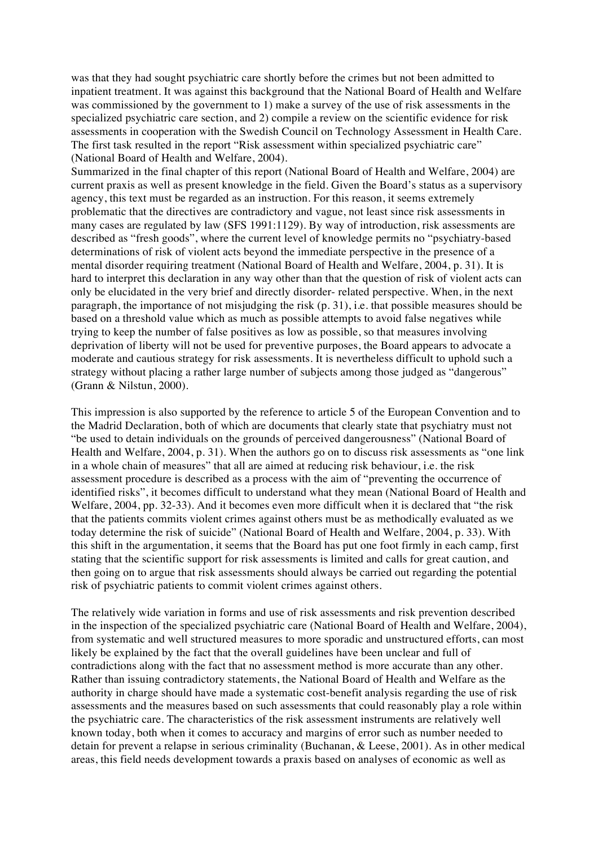was that they had sought psychiatric care shortly before the crimes but not been admitted to inpatient treatment. It was against this background that the National Board of Health and Welfare was commissioned by the government to 1) make a survey of the use of risk assessments in the specialized psychiatric care section, and 2) compile a review on the scientific evidence for risk assessments in cooperation with the Swedish Council on Technology Assessment in Health Care. The first task resulted in the report "Risk assessment within specialized psychiatric care" (National Board of Health and Welfare, 2004).

Summarized in the final chapter of this report (National Board of Health and Welfare, 2004) are current praxis as well as present knowledge in the field. Given the Board's status as a supervisory agency, this text must be regarded as an instruction. For this reason, it seems extremely problematic that the directives are contradictory and vague, not least since risk assessments in many cases are regulated by law (SFS 1991:1129). By way of introduction, risk assessments are described as "fresh goods", where the current level of knowledge permits no "psychiatry-based determinations of risk of violent acts beyond the immediate perspective in the presence of a mental disorder requiring treatment (National Board of Health and Welfare, 2004, p. 31). It is hard to interpret this declaration in any way other than that the question of risk of violent acts can only be elucidated in the very brief and directly disorder- related perspective. When, in the next paragraph, the importance of not misjudging the risk  $(p, 31)$ , i.e. that possible measures should be based on a threshold value which as much as possible attempts to avoid false negatives while trying to keep the number of false positives as low as possible, so that measures involving deprivation of liberty will not be used for preventive purposes, the Board appears to advocate a moderate and cautious strategy for risk assessments. It is nevertheless difficult to uphold such a strategy without placing a rather large number of subjects among those judged as "dangerous" (Grann & Nilstun, 2000).

This impression is also supported by the reference to article 5 of the European Convention and to the Madrid Declaration, both of which are documents that clearly state that psychiatry must not "be used to detain individuals on the grounds of perceived dangerousness" (National Board of Health and Welfare, 2004, p. 31). When the authors go on to discuss risk assessments as "one link in a whole chain of measures" that all are aimed at reducing risk behaviour, i.e. the risk assessment procedure is described as a process with the aim of "preventing the occurrence of identified risks", it becomes difficult to understand what they mean (National Board of Health and Welfare, 2004, pp. 32-33). And it becomes even more difficult when it is declared that "the risk that the patients commits violent crimes against others must be as methodically evaluated as we today determine the risk of suicide" (National Board of Health and Welfare, 2004, p. 33). With this shift in the argumentation, it seems that the Board has put one foot firmly in each camp, first stating that the scientific support for risk assessments is limited and calls for great caution, and then going on to argue that risk assessments should always be carried out regarding the potential risk of psychiatric patients to commit violent crimes against others.

The relatively wide variation in forms and use of risk assessments and risk prevention described in the inspection of the specialized psychiatric care (National Board of Health and Welfare, 2004), from systematic and well structured measures to more sporadic and unstructured efforts, can most likely be explained by the fact that the overall guidelines have been unclear and full of contradictions along with the fact that no assessment method is more accurate than any other. Rather than issuing contradictory statements, the National Board of Health and Welfare as the authority in charge should have made a systematic cost-benefit analysis regarding the use of risk assessments and the measures based on such assessments that could reasonably play a role within the psychiatric care. The characteristics of the risk assessment instruments are relatively well known today, both when it comes to accuracy and margins of error such as number needed to detain for prevent a relapse in serious criminality (Buchanan, & Leese, 2001). As in other medical areas, this field needs development towards a praxis based on analyses of economic as well as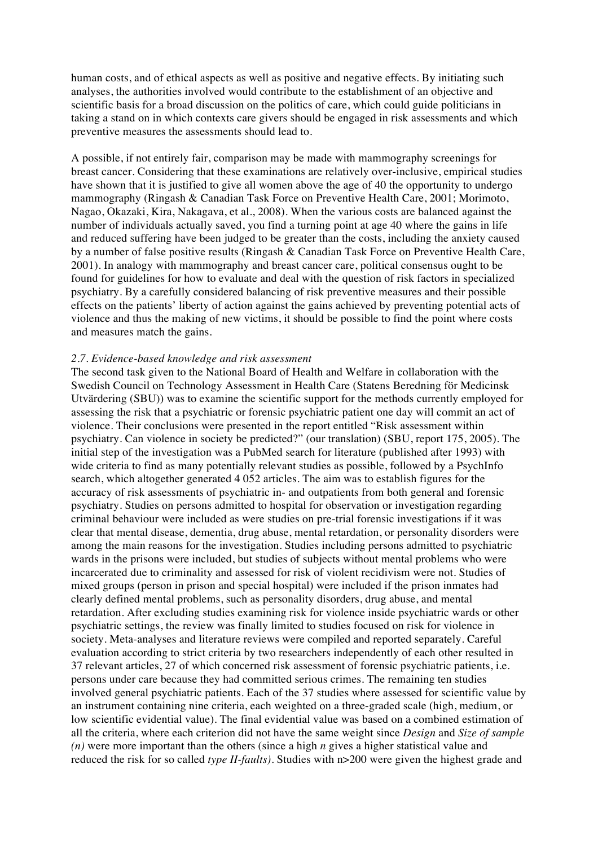human costs, and of ethical aspects as well as positive and negative effects. By initiating such analyses, the authorities involved would contribute to the establishment of an objective and scientific basis for a broad discussion on the politics of care, which could guide politicians in taking a stand on in which contexts care givers should be engaged in risk assessments and which preventive measures the assessments should lead to.

A possible, if not entirely fair, comparison may be made with mammography screenings for breast cancer. Considering that these examinations are relatively over-inclusive, empirical studies have shown that it is justified to give all women above the age of 40 the opportunity to undergo mammography (Ringash & Canadian Task Force on Preventive Health Care, 2001; Morimoto, Nagao, Okazaki, Kira, Nakagava, et al., 2008). When the various costs are balanced against the number of individuals actually saved, you find a turning point at age 40 where the gains in life and reduced suffering have been judged to be greater than the costs, including the anxiety caused by a number of false positive results (Ringash & Canadian Task Force on Preventive Health Care, 2001). In analogy with mammography and breast cancer care, political consensus ought to be found for guidelines for how to evaluate and deal with the question of risk factors in specialized psychiatry. By a carefully considered balancing of risk preventive measures and their possible effects on the patients' liberty of action against the gains achieved by preventing potential acts of violence and thus the making of new victims, it should be possible to find the point where costs and measures match the gains.

#### *2.7. Evidence-based knowledge and risk assessment*

The second task given to the National Board of Health and Welfare in collaboration with the Swedish Council on Technology Assessment in Health Care (Statens Beredning för Medicinsk Utvärdering (SBU)) was to examine the scientific support for the methods currently employed for assessing the risk that a psychiatric or forensic psychiatric patient one day will commit an act of violence. Their conclusions were presented in the report entitled "Risk assessment within psychiatry. Can violence in society be predicted?" (our translation) (SBU, report 175, 2005). The initial step of the investigation was a PubMed search for literature (published after 1993) with wide criteria to find as many potentially relevant studies as possible, followed by a PsychInfo search, which altogether generated 4 052 articles. The aim was to establish figures for the accuracy of risk assessments of psychiatric in- and outpatients from both general and forensic psychiatry. Studies on persons admitted to hospital for observation or investigation regarding criminal behaviour were included as were studies on pre-trial forensic investigations if it was clear that mental disease, dementia, drug abuse, mental retardation, or personality disorders were among the main reasons for the investigation. Studies including persons admitted to psychiatric wards in the prisons were included, but studies of subjects without mental problems who were incarcerated due to criminality and assessed for risk of violent recidivism were not. Studies of mixed groups (person in prison and special hospital) were included if the prison inmates had clearly defined mental problems, such as personality disorders, drug abuse, and mental retardation. After excluding studies examining risk for violence inside psychiatric wards or other psychiatric settings, the review was finally limited to studies focused on risk for violence in society. Meta-analyses and literature reviews were compiled and reported separately. Careful evaluation according to strict criteria by two researchers independently of each other resulted in 37 relevant articles, 27 of which concerned risk assessment of forensic psychiatric patients, i.e. persons under care because they had committed serious crimes. The remaining ten studies involved general psychiatric patients. Each of the 37 studies where assessed for scientific value by an instrument containing nine criteria, each weighted on a three-graded scale (high, medium, or low scientific evidential value). The final evidential value was based on a combined estimation of all the criteria, where each criterion did not have the same weight since *Design* and *Size of sample (n)* were more important than the others (since a high *n* gives a higher statistical value and reduced the risk for so called *type II-faults)*. Studies with n>200 were given the highest grade and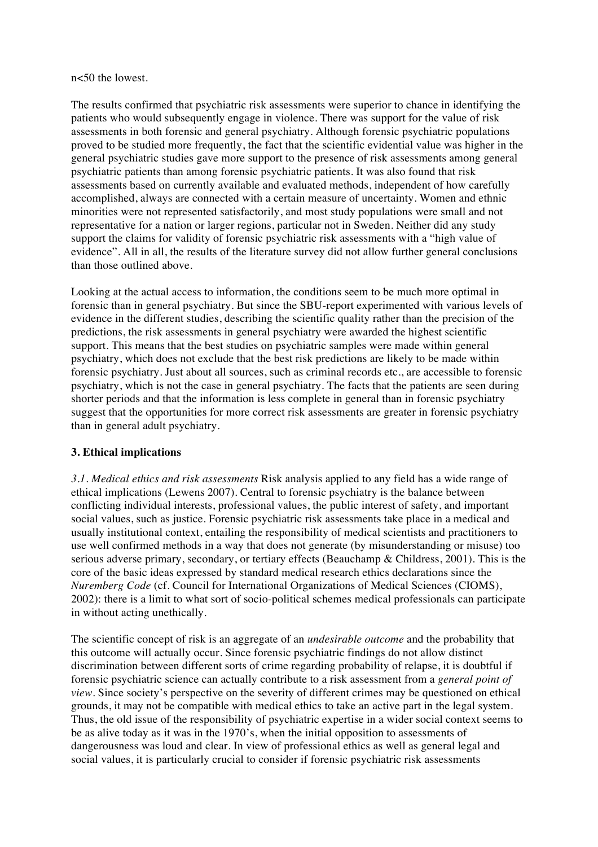#### n<50 the lowest.

The results confirmed that psychiatric risk assessments were superior to chance in identifying the patients who would subsequently engage in violence. There was support for the value of risk assessments in both forensic and general psychiatry. Although forensic psychiatric populations proved to be studied more frequently, the fact that the scientific evidential value was higher in the general psychiatric studies gave more support to the presence of risk assessments among general psychiatric patients than among forensic psychiatric patients. It was also found that risk assessments based on currently available and evaluated methods, independent of how carefully accomplished, always are connected with a certain measure of uncertainty. Women and ethnic minorities were not represented satisfactorily, and most study populations were small and not representative for a nation or larger regions, particular not in Sweden. Neither did any study support the claims for validity of forensic psychiatric risk assessments with a "high value of evidence". All in all, the results of the literature survey did not allow further general conclusions than those outlined above.

Looking at the actual access to information, the conditions seem to be much more optimal in forensic than in general psychiatry. But since the SBU-report experimented with various levels of evidence in the different studies, describing the scientific quality rather than the precision of the predictions, the risk assessments in general psychiatry were awarded the highest scientific support. This means that the best studies on psychiatric samples were made within general psychiatry, which does not exclude that the best risk predictions are likely to be made within forensic psychiatry. Just about all sources, such as criminal records etc., are accessible to forensic psychiatry, which is not the case in general psychiatry. The facts that the patients are seen during shorter periods and that the information is less complete in general than in forensic psychiatry suggest that the opportunities for more correct risk assessments are greater in forensic psychiatry than in general adult psychiatry.

#### **3. Ethical implications**

*3.1. Medical ethics and risk assessments* Risk analysis applied to any field has a wide range of ethical implications (Lewens 2007). Central to forensic psychiatry is the balance between conflicting individual interests, professional values, the public interest of safety, and important social values, such as justice. Forensic psychiatric risk assessments take place in a medical and usually institutional context, entailing the responsibility of medical scientists and practitioners to use well confirmed methods in a way that does not generate (by misunderstanding or misuse) too serious adverse primary, secondary, or tertiary effects (Beauchamp & Childress, 2001). This is the core of the basic ideas expressed by standard medical research ethics declarations since the *Nuremberg Code* (cf. Council for International Organizations of Medical Sciences (CIOMS), 2002): there is a limit to what sort of socio-political schemes medical professionals can participate in without acting unethically.

The scientific concept of risk is an aggregate of an *undesirable outcome* and the probability that this outcome will actually occur. Since forensic psychiatric findings do not allow distinct discrimination between different sorts of crime regarding probability of relapse, it is doubtful if forensic psychiatric science can actually contribute to a risk assessment from a *general point of view*. Since society's perspective on the severity of different crimes may be questioned on ethical grounds, it may not be compatible with medical ethics to take an active part in the legal system. Thus, the old issue of the responsibility of psychiatric expertise in a wider social context seems to be as alive today as it was in the 1970's, when the initial opposition to assessments of dangerousness was loud and clear. In view of professional ethics as well as general legal and social values, it is particularly crucial to consider if forensic psychiatric risk assessments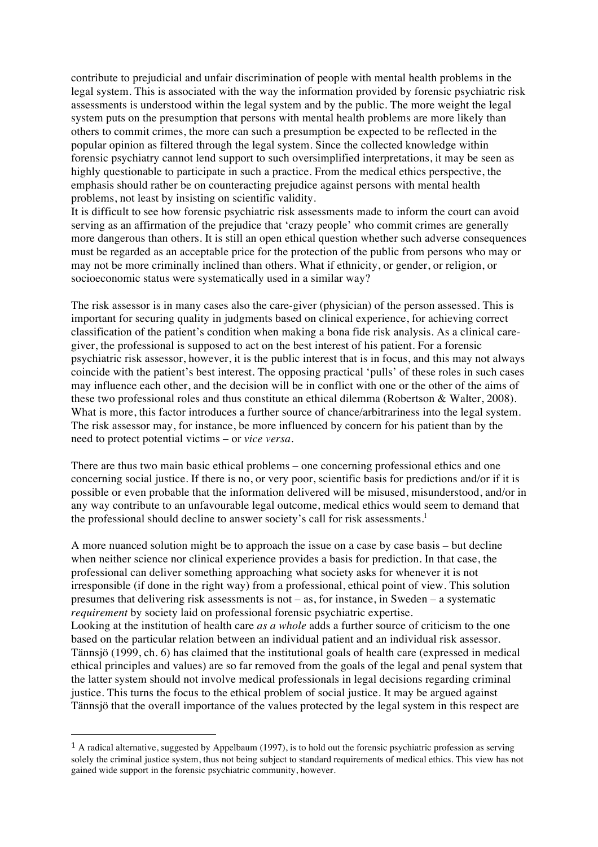contribute to prejudicial and unfair discrimination of people with mental health problems in the legal system. This is associated with the way the information provided by forensic psychiatric risk assessments is understood within the legal system and by the public. The more weight the legal system puts on the presumption that persons with mental health problems are more likely than others to commit crimes, the more can such a presumption be expected to be reflected in the popular opinion as filtered through the legal system. Since the collected knowledge within forensic psychiatry cannot lend support to such oversimplified interpretations, it may be seen as highly questionable to participate in such a practice. From the medical ethics perspective, the emphasis should rather be on counteracting prejudice against persons with mental health problems, not least by insisting on scientific validity.

It is difficult to see how forensic psychiatric risk assessments made to inform the court can avoid serving as an affirmation of the prejudice that 'crazy people' who commit crimes are generally more dangerous than others. It is still an open ethical question whether such adverse consequences must be regarded as an acceptable price for the protection of the public from persons who may or may not be more criminally inclined than others. What if ethnicity, or gender, or religion, or socioeconomic status were systematically used in a similar way?

The risk assessor is in many cases also the care-giver (physician) of the person assessed. This is important for securing quality in judgments based on clinical experience, for achieving correct classification of the patient's condition when making a bona fide risk analysis. As a clinical caregiver, the professional is supposed to act on the best interest of his patient. For a forensic psychiatric risk assessor, however, it is the public interest that is in focus, and this may not always coincide with the patient's best interest. The opposing practical 'pulls' of these roles in such cases may influence each other, and the decision will be in conflict with one or the other of the aims of these two professional roles and thus constitute an ethical dilemma (Robertson & Walter, 2008). What is more, this factor introduces a further source of chance/arbitrariness into the legal system. The risk assessor may, for instance, be more influenced by concern for his patient than by the need to protect potential victims – or *vice versa*.

There are thus two main basic ethical problems – one concerning professional ethics and one concerning social justice. If there is no, or very poor, scientific basis for predictions and/or if it is possible or even probable that the information delivered will be misused, misunderstood, and/or in any way contribute to an unfavourable legal outcome, medical ethics would seem to demand that the professional should decline to answer society's call for risk assessments.<sup>1</sup>

A more nuanced solution might be to approach the issue on a case by case basis – but decline when neither science nor clinical experience provides a basis for prediction. In that case, the professional can deliver something approaching what society asks for whenever it is not irresponsible (if done in the right way) from a professional, ethical point of view. This solution presumes that delivering risk assessments is not – as, for instance, in Sweden – a systematic *requirement* by society laid on professional forensic psychiatric expertise. Looking at the institution of health care *as a whole* adds a further source of criticism to the one based on the particular relation between an individual patient and an individual risk assessor. Tännsjö (1999, ch. 6) has claimed that the institutional goals of health care (expressed in medical ethical principles and values) are so far removed from the goals of the legal and penal system that the latter system should not involve medical professionals in legal decisions regarding criminal justice. This turns the focus to the ethical problem of social justice. It may be argued against Tännsjö that the overall importance of the values protected by the legal system in this respect are

!!!!!!!!!!!!!!!!!!!!!!!!!!!!!!!!!!!!!!!!!!!!!!!!!!!!!!!

 $<sup>1</sup>$  A radical alternative, suggested by Appelbaum (1997), is to hold out the forensic psychiatric profession as serving</sup> solely the criminal justice system, thus not being subject to standard requirements of medical ethics. This view has not gained wide support in the forensic psychiatric community, however.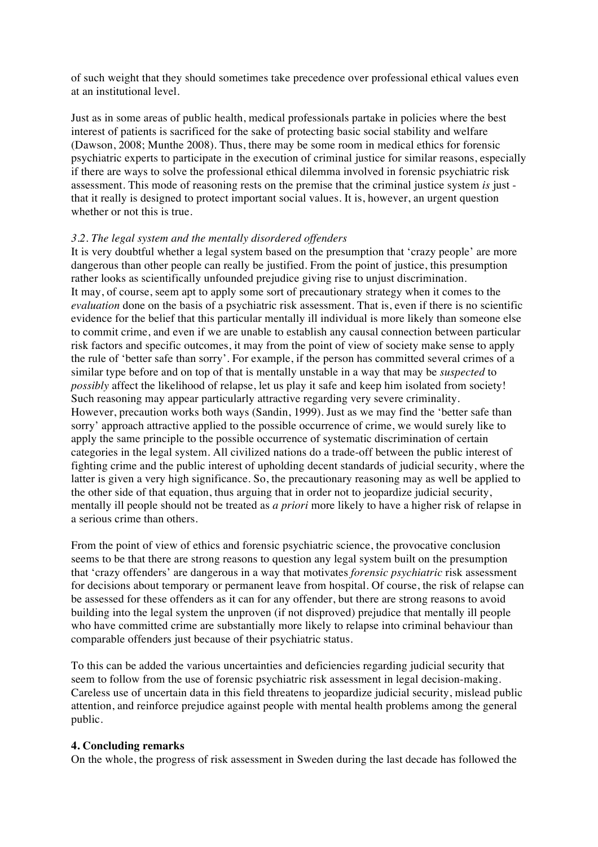of such weight that they should sometimes take precedence over professional ethical values even at an institutional level.

Just as in some areas of public health, medical professionals partake in policies where the best interest of patients is sacrificed for the sake of protecting basic social stability and welfare (Dawson, 2008; Munthe 2008). Thus, there may be some room in medical ethics for forensic psychiatric experts to participate in the execution of criminal justice for similar reasons, especially if there are ways to solve the professional ethical dilemma involved in forensic psychiatric risk assessment. This mode of reasoning rests on the premise that the criminal justice system *is* just that it really is designed to protect important social values. It is, however, an urgent question whether or not this is true.

#### *3.2. The legal system and the mentally disordered offenders*

It is very doubtful whether a legal system based on the presumption that 'crazy people' are more dangerous than other people can really be justified. From the point of justice, this presumption rather looks as scientifically unfounded prejudice giving rise to unjust discrimination. It may, of course, seem apt to apply some sort of precautionary strategy when it comes to the *evaluation* done on the basis of a psychiatric risk assessment. That is, even if there is no scientific evidence for the belief that this particular mentally ill individual is more likely than someone else to commit crime, and even if we are unable to establish any causal connection between particular risk factors and specific outcomes, it may from the point of view of society make sense to apply the rule of 'better safe than sorry'. For example, if the person has committed several crimes of a similar type before and on top of that is mentally unstable in a way that may be *suspected* to *possibly* affect the likelihood of relapse, let us play it safe and keep him isolated from society! Such reasoning may appear particularly attractive regarding very severe criminality. However, precaution works both ways (Sandin, 1999). Just as we may find the 'better safe than sorry' approach attractive applied to the possible occurrence of crime, we would surely like to apply the same principle to the possible occurrence of systematic discrimination of certain categories in the legal system. All civilized nations do a trade-off between the public interest of fighting crime and the public interest of upholding decent standards of judicial security, where the latter is given a very high significance. So, the precautionary reasoning may as well be applied to the other side of that equation, thus arguing that in order not to jeopardize judicial security, mentally ill people should not be treated as *a priori* more likely to have a higher risk of relapse in a serious crime than others.

From the point of view of ethics and forensic psychiatric science, the provocative conclusion seems to be that there are strong reasons to question any legal system built on the presumption that 'crazy offenders' are dangerous in a way that motivates *forensic psychiatric* risk assessment for decisions about temporary or permanent leave from hospital. Of course, the risk of relapse can be assessed for these offenders as it can for any offender, but there are strong reasons to avoid building into the legal system the unproven (if not disproved) prejudice that mentally ill people who have committed crime are substantially more likely to relapse into criminal behaviour than comparable offenders just because of their psychiatric status.

To this can be added the various uncertainties and deficiencies regarding judicial security that seem to follow from the use of forensic psychiatric risk assessment in legal decision-making. Careless use of uncertain data in this field threatens to jeopardize judicial security, mislead public attention, and reinforce prejudice against people with mental health problems among the general public.

#### **4. Concluding remarks**

On the whole, the progress of risk assessment in Sweden during the last decade has followed the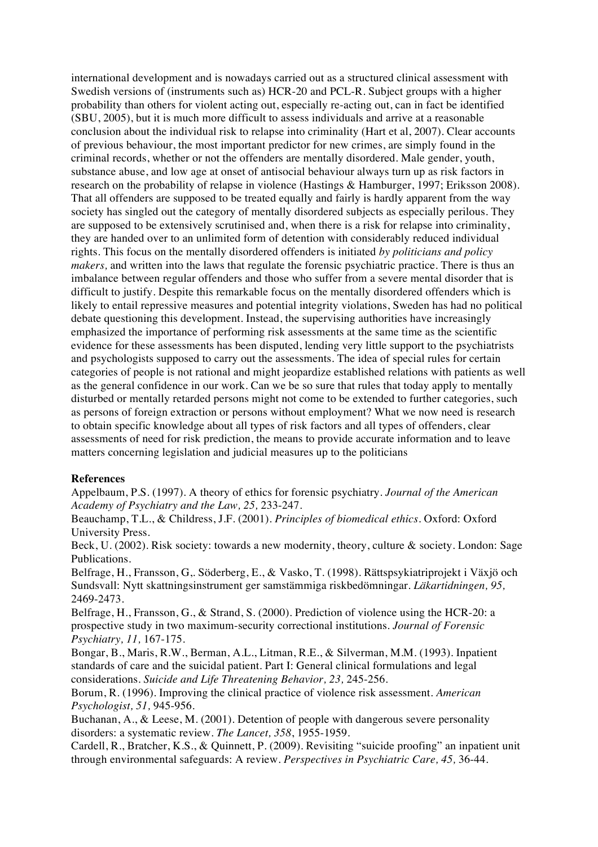international development and is nowadays carried out as a structured clinical assessment with Swedish versions of (instruments such as) HCR-20 and PCL-R. Subject groups with a higher probability than others for violent acting out, especially re-acting out, can in fact be identified (SBU, 2005), but it is much more difficult to assess individuals and arrive at a reasonable conclusion about the individual risk to relapse into criminality (Hart et al, 2007). Clear accounts of previous behaviour, the most important predictor for new crimes, are simply found in the criminal records, whether or not the offenders are mentally disordered. Male gender, youth, substance abuse, and low age at onset of antisocial behaviour always turn up as risk factors in research on the probability of relapse in violence (Hastings & Hamburger, 1997; Eriksson 2008). That all offenders are supposed to be treated equally and fairly is hardly apparent from the way society has singled out the category of mentally disordered subjects as especially perilous. They are supposed to be extensively scrutinised and, when there is a risk for relapse into criminality, they are handed over to an unlimited form of detention with considerably reduced individual rights. This focus on the mentally disordered offenders is initiated *by politicians and policy makers,* and written into the laws that regulate the forensic psychiatric practice. There is thus an imbalance between regular offenders and those who suffer from a severe mental disorder that is difficult to justify. Despite this remarkable focus on the mentally disordered offenders which is likely to entail repressive measures and potential integrity violations, Sweden has had no political debate questioning this development. Instead, the supervising authorities have increasingly emphasized the importance of performing risk assessments at the same time as the scientific evidence for these assessments has been disputed, lending very little support to the psychiatrists and psychologists supposed to carry out the assessments. The idea of special rules for certain categories of people is not rational and might jeopardize established relations with patients as well as the general confidence in our work. Can we be so sure that rules that today apply to mentally disturbed or mentally retarded persons might not come to be extended to further categories, such as persons of foreign extraction or persons without employment? What we now need is research to obtain specific knowledge about all types of risk factors and all types of offenders, clear assessments of need for risk prediction, the means to provide accurate information and to leave matters concerning legislation and judicial measures up to the politicians

#### **References**

Appelbaum, P.S. (1997). A theory of ethics for forensic psychiatry. *Journal of the American Academy of Psychiatry and the Law, 25,* 233-247.

Beauchamp, T.L., & Childress, J.F. (2001). *Principles of biomedical ethics.* Oxford: Oxford University Press.

Beck, U. (2002). Risk society: towards a new modernity, theory, culture & society. London: Sage Publications.

Belfrage, H., Fransson, G,. Söderberg, E., & Vasko, T. (1998). Rättspsykiatriprojekt i Växjö och Sundsvall: Nytt skattningsinstrument ger samstämmiga riskbedömningar. *Läkartidningen, 95,*  2469-2473.

Belfrage, H., Fransson, G., & Strand, S. (2000). Prediction of violence using the HCR-20: a prospective study in two maximum-security correctional institutions. *Journal of Forensic Psychiatry, 11,* 167-175.

Bongar, B., Maris, R.W., Berman, A.L., Litman, R.E., & Silverman, M.M. (1993). Inpatient standards of care and the suicidal patient. Part I: General clinical formulations and legal considerations. *Suicide and Life Threatening Behavior, 23,* 245-256.

Borum, R. (1996). Improving the clinical practice of violence risk assessment. *American Psychologist, 51,* 945-956.

Buchanan, A., & Leese, M. (2001). Detention of people with dangerous severe personality disorders: a systematic review. *The Lancet, 358*, 1955-1959.

Cardell, R., Bratcher, K.S., & Quinnett, P. (2009). Revisiting "suicide proofing" an inpatient unit through environmental safeguards: A review. *Perspectives in Psychiatric Care, 45,* 36-44.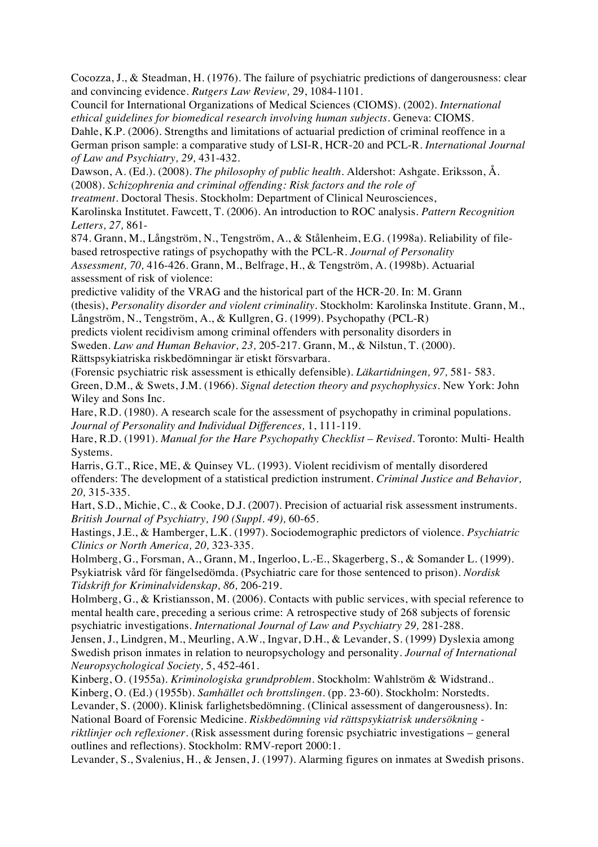Cocozza, J., & Steadman, H. (1976). The failure of psychiatric predictions of dangerousness: clear and convincing evidence. *Rutgers Law Review,* 29, 1084-1101.

Council for International Organizations of Medical Sciences (CIOMS). (2002). *International ethical guidelines for biomedical research involving human subjects.* Geneva: CIOMS.

Dahle, K.P. (2006). Strengths and limitations of actuarial prediction of criminal reoffence in a German prison sample: a comparative study of LSI-R, HCR-20 and PCL-R. *International Journal of Law and Psychiatry, 29,* 431-432.

Dawson, A. (Ed.). (2008). *The philosophy of public health*. Aldershot: Ashgate. Eriksson, Å. (2008). *Schizophrenia and criminal offending: Risk factors and the role of*

*treatment.* Doctoral Thesis. Stockholm: Department of Clinical Neurosciences,

Karolinska Institutet. Fawcett, T. (2006). An introduction to ROC analysis. *Pattern Recognition Letters, 27,* 861-

874. Grann, M., Långström, N., Tengström, A., & Stålenheim, E.G. (1998a). Reliability of filebased retrospective ratings of psychopathy with the PCL-R. *Journal of Personality Assessment, 70,* 416-426. Grann, M., Belfrage, H., & Tengström, A. (1998b). Actuarial assessment of risk of violence:

predictive validity of the VRAG and the historical part of the HCR-20. In: M. Grann (thesis), *Personality disorder and violent criminality.* Stockholm: Karolinska Institute. Grann, M., Långström, N., Tengström, A., & Kullgren, G. (1999). Psychopathy (PCL-R)

predicts violent recidivism among criminal offenders with personality disorders in

Sweden. *Law and Human Behavior, 23,* 205-217*.* Grann, M., & Nilstun, T. (2000).

Rättspsykiatriska riskbedömningar är etiskt försvarbara.

(Forensic psychiatric risk assessment is ethically defensible). *Läkartidningen, 97,* 581- 583. Green, D.M., & Swets, J.M. (1966). *Signal detection theory and psychophysics*. New York: John Wiley and Sons Inc.

Hare, R.D. (1980). A research scale for the assessment of psychopathy in criminal populations. *Journal of Personality and Individual Differences,* 1, 111-119.

Hare, R.D. (1991). *Manual for the Hare Psychopathy Checklist – Revised.* Toronto: Multi- Health Systems.

Harris, G.T., Rice, ME, & Quinsey VL. (1993). Violent recidivism of mentally disordered offenders: The development of a statistical prediction instrument. *Criminal Justice and Behavior, 20,* 315-335.

Hart, S.D., Michie, C., & Cooke, D.J. (2007). Precision of actuarial risk assessment instruments. *British Journal of Psychiatry, 190 (Suppl. 49),* 60-65.

Hastings, J.E., & Hamberger, L.K. (1997). Sociodemographic predictors of violence. *Psychiatric Clinics or North America, 20,* 323-335.

Holmberg, G., Forsman, A., Grann, M., Ingerloo, L.-E., Skagerberg, S., & Somander L. (1999). Psykiatrisk vård för fängelsedömda. (Psychiatric care for those sentenced to prison). *Nordisk Tidskrift for Kriminalvidenskap, 86,* 206-219.

Holmberg, G., & Kristiansson, M. (2006). Contacts with public services, with special reference to mental health care, preceding a serious crime: A retrospective study of 268 subjects of forensic psychiatric investigations. *International Journal of Law and Psychiatry 29,* 281-288.

Jensen, J., Lindgren, M., Meurling, A.W., Ingvar, D.H., & Levander, S. (1999) Dyslexia among Swedish prison inmates in relation to neuropsychology and personality. *Journal of International Neuropsychological Society,* 5, 452-461.

Kinberg, O. (1955a). *Kriminologiska grundproblem*. Stockholm: Wahlström & Widstrand..

Kinberg, O. (Ed.) (1955b). *Samhället och brottslingen.* (pp. 23-60). Stockholm: Norstedts.

Levander, S. (2000). Klinisk farlighetsbedömning. (Clinical assessment of dangerousness). In: National Board of Forensic Medicine. *Riskbedömning vid rättspsykiatrisk undersökning -*

*riktlinjer och reflexioner*. (Risk assessment during forensic psychiatric investigations – general outlines and reflections). Stockholm: RMV-report 2000:1.

Levander, S., Svalenius, H., & Jensen, J. (1997). Alarming figures on inmates at Swedish prisons.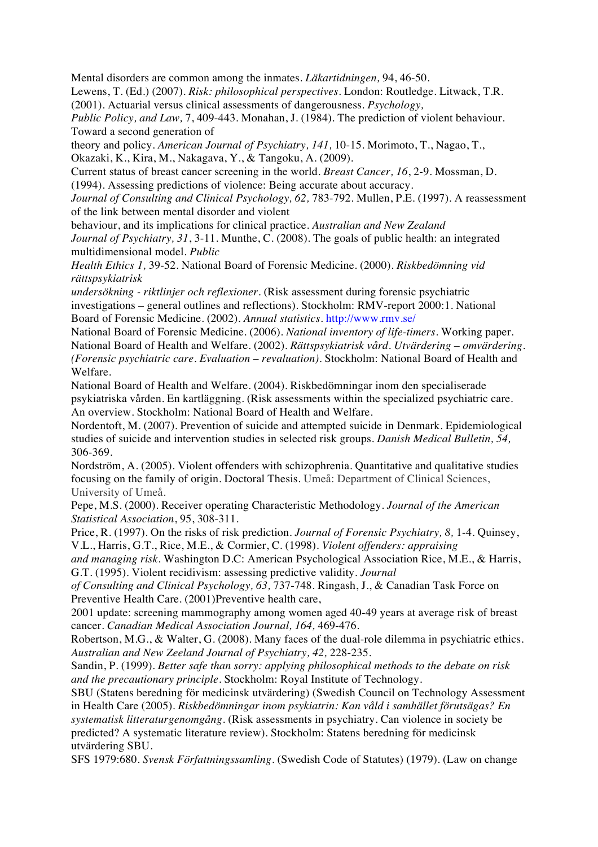Mental disorders are common among the inmates. *Läkartidningen,* 94, 46-50.

Lewens, T. (Ed.) (2007). *Risk: philosophical perspectives*. London: Routledge. Litwack, T.R. (2001). Actuarial versus clinical assessments of dangerousness. *Psychology,*

*Public Policy, and Law,* 7, 409-443. Monahan, J. (1984). The prediction of violent behaviour. Toward a second generation of

theory and policy. *American Journal of Psychiatry, 141,* 10-15. Morimoto, T., Nagao, T., Okazaki, K., Kira, M., Nakagava, Y., & Tangoku, A. (2009).

Current status of breast cancer screening in the world. *Breast Cancer, 16*, 2-9. Mossman, D. (1994). Assessing predictions of violence: Being accurate about accuracy.

Journal of Consulting and Clinical Psychology, 62, 783-792. Mullen, P.E. (1997). A reassessment of the link between mental disorder and violent

behaviour, and its implications for clinical practice. *Australian and New Zealand Journal of Psychiatry, 31*, 3-11. Munthe, C. (2008). The goals of public health: an integrated multidimensional model. *Public*

*Health Ethics 1,* 39-52. National Board of Forensic Medicine. (2000). *Riskbedömning vid rättspsykiatrisk*

*undersökning - riktlinjer och reflexioner.* (Risk assessment during forensic psychiatric investigations – general outlines and reflections). Stockholm: RMV-report 2000:1. National Board of Forensic Medicine. (2002). *Annual statistics*. http://www.rmv.se/

National Board of Forensic Medicine. (2006). *National inventory of life-timers*. Working paper. National Board of Health and Welfare. (2002). *Rättspsykiatrisk vård. Utvärdering – omvärdering. (Forensic psychiatric care. Evaluation – revaluation).* Stockholm: National Board of Health and Welfare.

National Board of Health and Welfare. (2004). Riskbedömningar inom den specialiserade psykiatriska vården. En kartläggning. (Risk assessments within the specialized psychiatric care. An overview. Stockholm: National Board of Health and Welfare.

Nordentoft, M. (2007). Prevention of suicide and attempted suicide in Denmark. Epidemiological studies of suicide and intervention studies in selected risk groups. *Danish Medical Bulletin, 54,*  306-369.

Nordström, A. (2005). Violent offenders with schizophrenia. Quantitative and qualitative studies focusing on the family of origin. Doctoral Thesis. Umeå: Department of Clinical Sciences, University of Umeå.

Pepe, M.S. (2000). Receiver operating Characteristic Methodology. *Journal of the American Statistical Association*, 95, 308-311.

Price, R. (1997). On the risks of risk prediction. *Journal of Forensic Psychiatry, 8,* 1-4. Quinsey, V.L., Harris, G.T., Rice, M.E., & Cormier, C. (1998). *Violent offenders: appraising*

*and managing risk.* Washington D.C: American Psychological Association Rice, M.E., & Harris, G.T. (1995). Violent recidivism: assessing predictive validity. *Journal*

*of Consulting and Clinical Psychology, 63,* 737-748. Ringash, J., & Canadian Task Force on Preventive Health Care. (2001)Preventive health care,

2001 update: screening mammography among women aged 40-49 years at average risk of breast cancer. *Canadian Medical Association Journal, 164,* 469-476.

Robertson, M.G., & Walter, G. (2008). Many faces of the dual-role dilemma in psychiatric ethics. *Australian and New Zeeland Journal of Psychiatry, 42,* 228-235.

Sandin, P. (1999). *Better safe than sorry: applying philosophical methods to the debate on risk and the precautionary principle.* Stockholm: Royal Institute of Technology.

SBU (Statens beredning för medicinsk utvärdering) (Swedish Council on Technology Assessment in Health Care (2005). *Riskbedömningar inom psykiatrin: Kan våld i samhället förutsägas? En systematisk litteraturgenomgång.* (Risk assessments in psychiatry. Can violence in society be predicted? A systematic literature review). Stockholm: Statens beredning för medicinsk utvärdering SBU.

SFS 1979:680. *Svensk Författningssamling*. (Swedish Code of Statutes) (1979). (Law on change